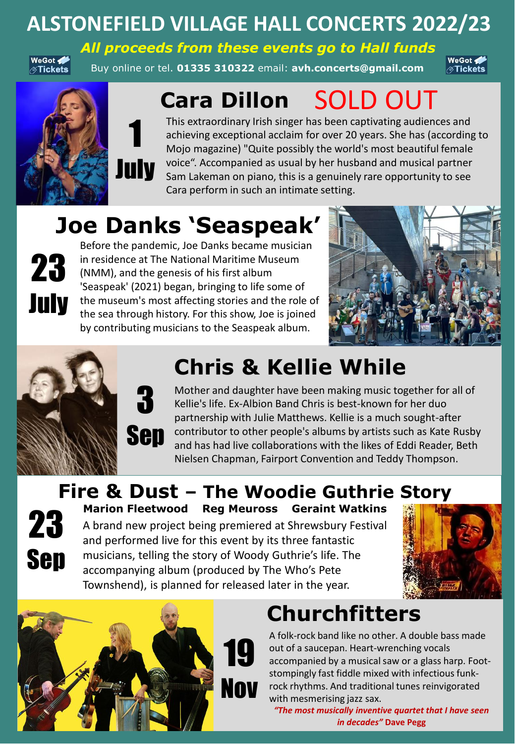#### **ALSTONEFIELD VILLAGE HALL CONCERTS 2022/23**

WeGot < ⊘Tickets

Buy online or tel. **01335 310322** email: **avh.concerts@gmail.com**  *All proceeds from these events go to Hall funds*

WeGot </ ⊘Tickets





3

# **Cara Dillon** SOLD OUT

This extraordinary Irish singer has been captivating audiences and achieving exceptional acclaim for over 20 years. She has (according to Mojo magazine) "Quite possibly the world's most beautiful female voice". Accompanied as usual by her husband and musical partner Sam Lakeman on piano, this is a genuinely rare opportunity to see Cara perform in such an intimate setting.

# **Joe Danks 'Seaspeak'**

July

**23** in residence at The National Maritime Must (NMM), and the genesis of his first album Before the pandemic, Joe Danks became musician in residence at The National Maritime Museum 'Seaspeak' (2021) began, bringing to life some of the museum's most affecting stories and the role of the sea through history. For this show, Joe is joined by contributing musicians to the Seaspeak album.





### **Chris & Kellie While**

Sep Mother and daughter have been making music together for all of Kellie's life. Ex-Albion Band Chris is best-known for her duo partnership with Julie Matthews. Kellie is a much sought-after contributor to other people's albums by artists such as Kate Rusby and has had live collaborations with the likes of Eddi Reader, Beth Nielsen Chapman, Fairport Convention and Teddy Thompson.

#### **Fire & Dust – The Woodie Guthrie Story**



**23** Marion Fleetwood Reg Meuross Geraint Wa<br>A brand new project being premiered at Shrewsbury Ference fantastic<br>and performed live for this event by its three fantastic A brand new project being premiered at Shrewsbury Festival musicians, telling the story of Woody Guthrie's life. The accompanying album (produced by The Who's Pete Townshend), is planned for released later in the year. **Marion Fleetwood Reg Meuross Geraint Watkins** 





## **Churchfitters**

A folk-rock band like no other. A double bass made out of a saucepan. Heart-wrenching vocals accompanied by a musical saw or a glass harp. Footstompingly fast fiddle mixed with infectious funkrock rhythms. And traditional tunes reinvigorated with mesmerising jazz sax.

*"The most musically inventive quartet that I have seen in decades"* **Dave Pegg**